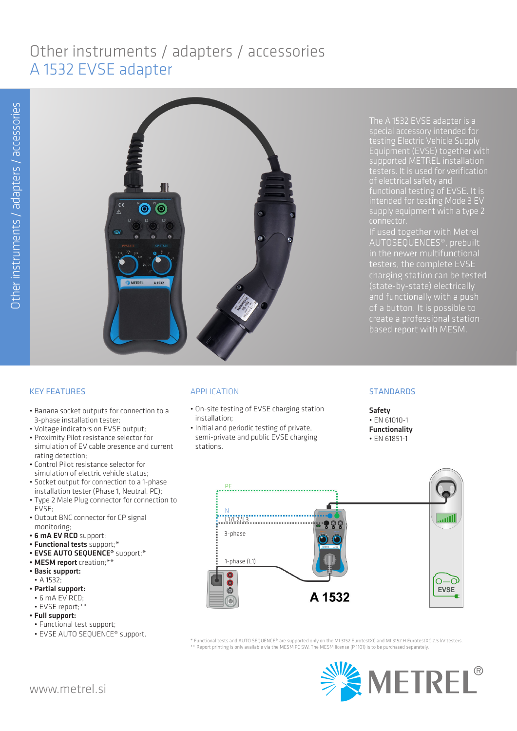# Other instruments / adapters / accessories A 1532 EVSE adapter



The A 1532 EVSE adapter is a testing Electric Vehicle Supply Equipment (EVSE) together with supported METREL installation supply equipment with a type 2

testers, the complete EVSE and functionally with a push create a professional stationbased report with MESM.

# KEY FEATURES

- Banana socket outputs for connection to a 3-phase installation tester;
- Voltage indicators on EVSE output;
- Proximity Pilot resistance selector for simulation of EV cable presence and current rating detection;
- Control Pilot resistance selector for simulation of electric vehicle status;
- Socket output for connection to a 1-phase installation tester (Phase 1, Neutral, PE);
- Type 2 Male Plug connector for connection to EVSE;
- Output BNC connector for CP signal monitoring;
- 6 mA EV RCD support;
- Functional tests support;\*
- EVSE AUTO SEQUENCE<sup>®</sup> support;\*
- MESM report creation;\*\*
- Basic support:
- A 1532;
- Partial support:
- 6 mA EV RCD; • EVSE report;\*\*
- Full support:
- Functional test support;
- EVSE AUTO SEQUENCE® support.

# APPLICATION

- On-site testing of EVSE charging station installation;
- Initial and periodic testing of private, semi-private and public EVSE charging stations.

## **STANDARDS**

Safety • EN 61010-1 Functionality • EN 61851-1



\* Functional tests and AUTO SEQUENCE® are supported only on the MI 3152 EurotestXC and MI 3152 H EurotestXC 2.5 kV testers. \*\* Report printing is only available via the MESM PC SW. The MESM license (P 1101) is to be purchased separately.